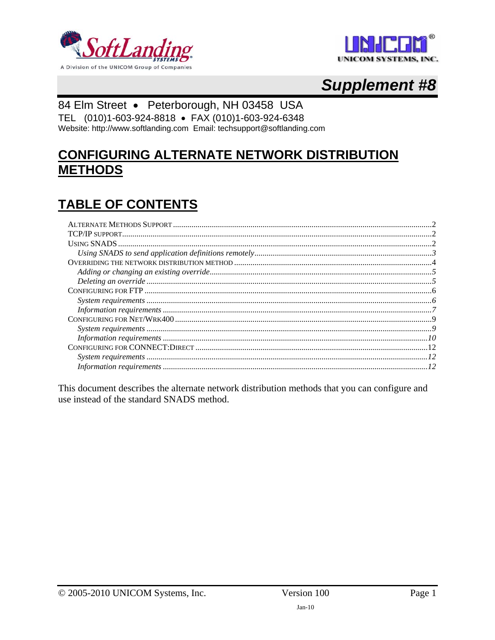



# **Supplement #8**

# 84 Elm Street · Peterborough, NH 03458 USA

TEL (010)1-603-924-8818 · FAX (010)1-603-924-6348 Website: http://www.softlanding.com Email: techsupport@softlanding.com

# **CONFIGURING ALTERNATE NETWORK DISTRIBUTION METHODS**

# **TABLE OF CONTENTS**

This document describes the alternate network distribution methods that you can configure and use instead of the standard SNADS method.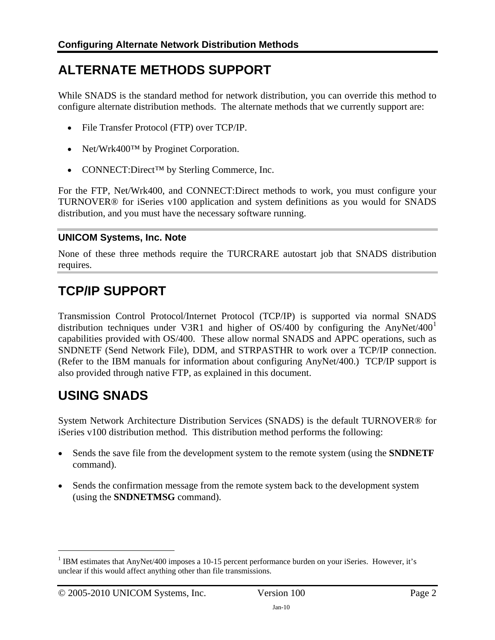# <span id="page-1-1"></span><span id="page-1-0"></span>**ALTERNATE METHODS SUPPORT**

While SNADS is the standard method for network distribution, you can override this method to configure alternate distribution methods. The alternate methods that we currently support are:

- File Transfer Protocol (FTP) over TCP/IP.
- Net/Wrk400TM by Proginet Corporation.
- CONNECT:Direct™ by Sterling Commerce, Inc.

For the FTP, Net/Wrk400, and CONNECT:Direct methods to work, you must configure your TURNOVER® for iSeries v100 application and system definitions as you would for SNADS distribution, and you must have the necessary software running.

## **UNICOM Systems, Inc. Note**

None of these three methods require the TURCRARE autostart job that SNADS distribution requires.

# <span id="page-1-2"></span>**TCP/IP SUPPORT**

Transmission Control Protocol/Internet Protocol (TCP/IP) is supported via normal SNADS distribution techniques under V3R[1](#page-1-4) and higher of  $OS/400$  by configuring the AnyNet/400<sup>1</sup> capabilities provided with OS/400. These allow normal SNADS and APPC operations, such as SNDNETF (Send Network File), DDM, and STRPASTHR to work over a TCP/IP connection. (Refer to the IBM manuals for information about configuring AnyNet/400.) TCP/IP support is also provided through native FTP, as explained in this document.

# <span id="page-1-3"></span>**USING SNADS**

 $\overline{a}$ 

System Network Architecture Distribution Services (SNADS) is the default TURNOVER® for iSeries v100 distribution method. This distribution method performs the following:

- Sends the save file from the development system to the remote system (using the **SNDNETF** command).
- Sends the confirmation message from the remote system back to the development system (using the **SNDNETMSG** command).

<span id="page-1-4"></span><sup>&</sup>lt;sup>1</sup> IBM estimates that AnyNet/400 imposes a 10-15 percent performance burden on your iSeries. However, it's unclear if this would affect anything other than file transmissions.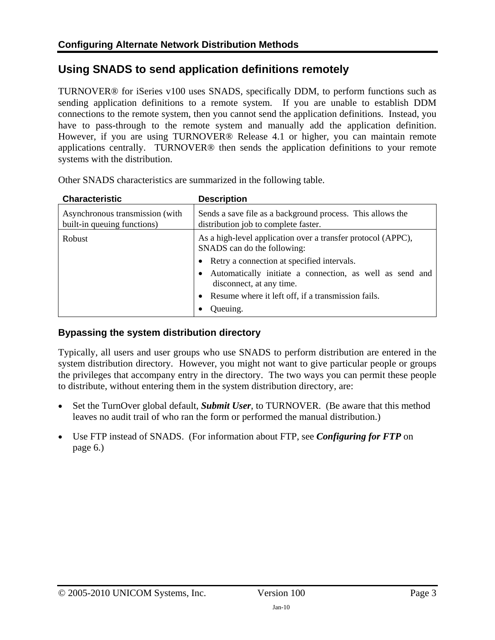# <span id="page-2-1"></span><span id="page-2-0"></span>**Using SNADS to send application definitions remotely**

TURNOVER® for iSeries v100 uses SNADS, specifically DDM, to perform functions such as sending application definitions to a remote system. If you are unable to establish DDM connections to the remote system, then you cannot send the application definitions. Instead, you have to pass-through to the remote system and manually add the application definition. However, if you are using TURNOVER® Release 4.1 or higher, you can maintain remote applications centrally. TURNOVER® then sends the application definitions to your remote systems with the distribution.

| <b>Characteristic</b>                                          | <b>Description</b>                                                                                 |  |
|----------------------------------------------------------------|----------------------------------------------------------------------------------------------------|--|
| Asynchronous transmission (with<br>built-in queuing functions) | Sends a save file as a background process. This allows the<br>distribution job to complete faster. |  |
| Robust                                                         | As a high-level application over a transfer protocol (APPC),<br>SNADS can do the following:        |  |
|                                                                | Retry a connection at specified intervals.                                                         |  |
|                                                                | Automatically initiate a connection, as well as send and<br>disconnect, at any time.               |  |
|                                                                | Resume where it left off, if a transmission fails.                                                 |  |
|                                                                | Queuing.                                                                                           |  |

Other SNADS characteristics are summarized in the following table.

## **Bypassing the system distribution directory**

Typically, all users and user groups who use SNADS to perform distribution are entered in the system distribution directory. However, you might not want to give particular people or groups the privileges that accompany entry in the directory. The two ways you can permit these people to distribute, without entering them in the system distribution directory, are:

- Set the TurnOver global default, *Submit User*, to TURNOVER. (Be aware that this method leaves no audit trail of who ran the form or performed the manual distribution.)
- Use FTP instead of SNADS. (For information about FTP, see *[Configuring for FTP](#page-5-1)* on page [6.](#page-5-1))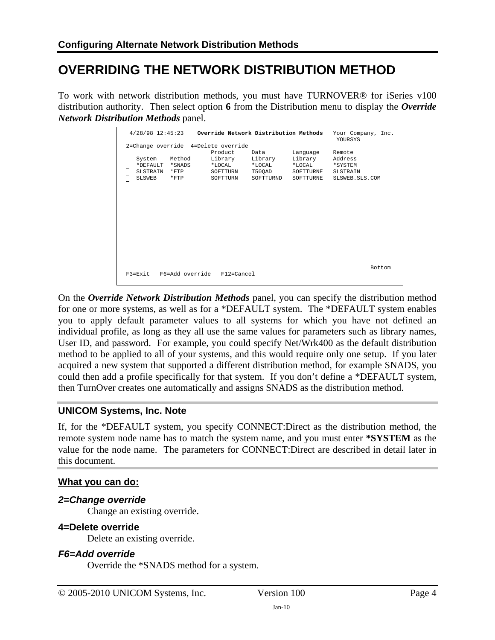# <span id="page-3-1"></span><span id="page-3-0"></span>**OVERRIDING THE NETWORK DISTRIBUTION METHOD**

To work with network distribution methods, you must have TURNOVER® for iSeries v100 distribution authority. Then select option **6** from the Distribution menu to display the *Override Network Distribution Methods* panel.

|                                                                                        |                              |                                                                         | $4/28/98$ 12:45:23 Override Network Distribution Methods |                                                            | Your Company, Inc.<br>YOURSYS                              |               |
|----------------------------------------------------------------------------------------|------------------------------|-------------------------------------------------------------------------|----------------------------------------------------------|------------------------------------------------------------|------------------------------------------------------------|---------------|
| 2=Change override 4=Delete override<br>System<br>*DEFAULT *SNADS<br>SLSTRAIN<br>SLSWEB | Method<br>$*$ FTP<br>$*$ FTP | Product.<br>Library<br>$*T \cdot O \subset A T$<br>SOFTTURN<br>SOFTTURN | Data<br>Library<br>*LOCAL<br>T50OAD<br>SOFTTURND         | Language<br>Library<br>$*$ LOCAL<br>SOFTTURNE<br>SOFTTURNE | Remote<br>Address<br>*SYSTEM<br>SLSTRAIN<br>SLSWEB.SLS.COM |               |
| F3=Exit F6=Add override F12=Cancel                                                     |                              |                                                                         |                                                          |                                                            |                                                            | <b>Bottom</b> |

On the *Override Network Distribution Methods* panel, you can specify the distribution method for one or more systems, as well as for a \*DEFAULT system. The \*DEFAULT system enables you to apply default parameter values to all systems for which you have not defined an individual profile, as long as they all use the same values for parameters such as library names, User ID, and password. For example, you could specify Net/Wrk400 as the default distribution method to be applied to all of your systems, and this would require only one setup. If you later acquired a new system that supported a different distribution method, for example SNADS, you could then add a profile specifically for that system. If you don't define a \*DEFAULT system, then TurnOver creates one automatically and assigns SNADS as the distribution method.

## **UNICOM Systems, Inc. Note**

If, for the \*DEFAULT system, you specify CONNECT:Direct as the distribution method, the remote system node name has to match the system name, and you must enter **\*SYSTEM** as the value for the node name. The parameters for CONNECT:Direct are described in detail later in this document.

# **What you can do:**

## *2=Change override*

Change an existing override.

## **4=Delete override**

Delete an existing override.

## *F6=Add override*

Override the \*SNADS method for a system.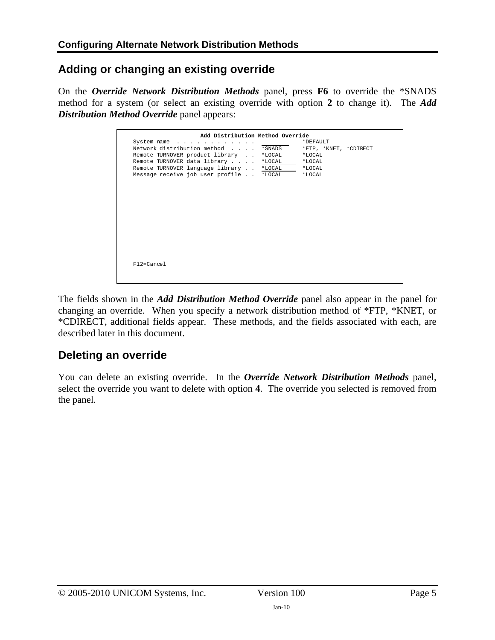# <span id="page-4-1"></span><span id="page-4-0"></span>**Adding or changing an existing override**

On the *Override Network Distribution Methods* panel, press **F6** to override the \*SNADS method for a system (or select an existing override with option **2** to change it). The *Add Distribution Method Override* panel appears:

| Add Distribution Method Override                                                                                          |                                                |  |
|---------------------------------------------------------------------------------------------------------------------------|------------------------------------------------|--|
| System name<br>Network distribution method *SNADS<br>Remote TURNOVER product library *LOCAL                               | *DEFAULT<br>*FTP, *KNET, *CDIRECT<br>$*$ LOCAL |  |
| Remote TURNOVER data library *LOCAL<br>Remote TURNOVER language library *LOCAL<br>Message receive job user profile *LOCAL | *LOCAL<br>$*$ LOCAL<br>*LOCAL                  |  |
|                                                                                                                           |                                                |  |
|                                                                                                                           |                                                |  |
|                                                                                                                           |                                                |  |
|                                                                                                                           |                                                |  |
|                                                                                                                           |                                                |  |
| $F12 = Cance1$                                                                                                            |                                                |  |
|                                                                                                                           |                                                |  |

The fields shown in the *Add Distribution Method Override* panel also appear in the panel for changing an override. When you specify a network distribution method of \*FTP, \*KNET, or \*CDIRECT, additional fields appear. These methods, and the fields associated with each, are described later in this document.

# <span id="page-4-2"></span>**Deleting an override**

You can delete an existing override. In the *Override Network Distribution Methods* panel, select the override you want to delete with option **4**. The override you selected is removed from the panel.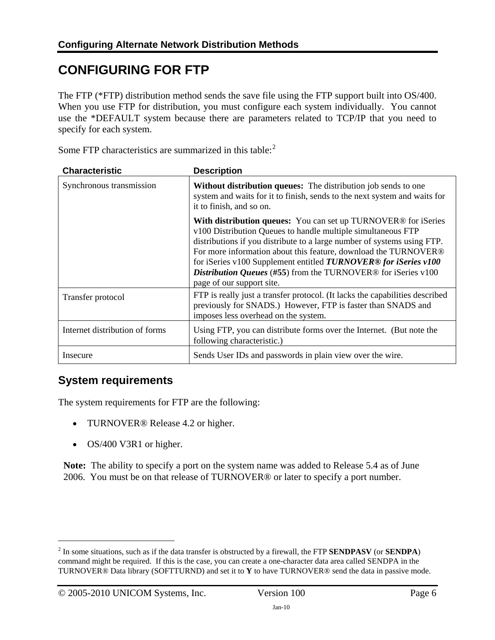# <span id="page-5-1"></span><span id="page-5-0"></span>**CONFIGURING FOR FTP**

The FTP (\*FTP) distribution method sends the save file using the FTP support built into OS/400. When you use FTP for distribution, you must configure each system individually. You cannot use the \*DEFAULT system because there are parameters related to TCP/IP that you need to specify for each system.

| <b>Characteristic</b>          | <b>Description</b>                                                                                                                                                                                                                                                                                                                                                                                                                                               |  |
|--------------------------------|------------------------------------------------------------------------------------------------------------------------------------------------------------------------------------------------------------------------------------------------------------------------------------------------------------------------------------------------------------------------------------------------------------------------------------------------------------------|--|
| Synchronous transmission       | Without distribution queues: The distribution job sends to one<br>system and waits for it to finish, sends to the next system and waits for<br>it to finish, and so on.                                                                                                                                                                                                                                                                                          |  |
|                                | With distribution queues: You can set up TURNOVER <sup>®</sup> for iSeries<br>v100 Distribution Queues to handle multiple simultaneous FTP<br>distributions if you distribute to a large number of systems using FTP.<br>For more information about this feature, download the TURNOVER®<br>for iSeries v100 Supplement entitled TURNOVER® for iSeries v100<br><b>Distribution Queues (#55) from the TURNOVER® for iSeries v100</b><br>page of our support site. |  |
| Transfer protocol              | FTP is really just a transfer protocol. (It lacks the capabilities described<br>previously for SNADS.) However, FTP is faster than SNADS and<br>imposes less overhead on the system.                                                                                                                                                                                                                                                                             |  |
| Internet distribution of forms | Using FTP, you can distribute forms over the Internet. (But note the<br>following characteristic.)                                                                                                                                                                                                                                                                                                                                                               |  |
| Insecure                       | Sends User IDs and passwords in plain view over the wire.                                                                                                                                                                                                                                                                                                                                                                                                        |  |

Some FTP characteristics are summarized in this table:<sup>[2](#page-5-3)</sup>

# <span id="page-5-2"></span>**System requirements**

The system requirements for FTP are the following:

- TURNOVER<sup>®</sup> Release 4.2 or higher.
- OS/400 V3R1 or higher.

**Note:** The ability to specify a port on the system name was added to Release 5.4 as of June 2006. You must be on that release of TURNOVER® or later to specify a port number.

 $\overline{a}$ 

<span id="page-5-3"></span><sup>2</sup> In some situations, such as if the data transfer is obstructed by a firewall, the FTP **SENDPASV** (or **SENDPA**) command might be required. If this is the case, you can create a one-character data area called SENDPA in the TURNOVER® Data library (SOFTTURND) and set it to **Y** to have TURNOVER® send the data in passive mode.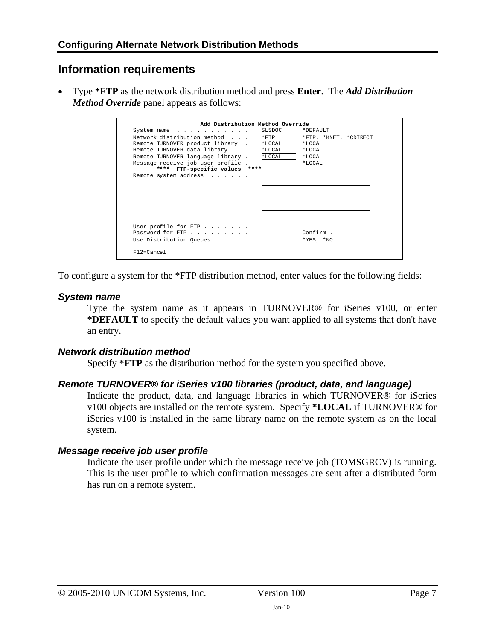# <span id="page-6-1"></span><span id="page-6-0"></span>**Information requirements**

• Type **\*FTP** as the network distribution method and press **Enter**. The *Add Distribution Method Override* panel appears as follows:

| Add Distribution Method Override        |           |                       |
|-----------------------------------------|-----------|-----------------------|
| System name                             | SLSDOC    | *DEFAULT              |
| Network distribution method             | $*$ $FTP$ | *FTP, *KNET, *CDIRECT |
| Remote TURNOVER product library         | *LOCAL    | $*TOCAT$              |
| Remote TURNOVER data library            | *LOCAL    | *LOCAL                |
| Remote TURNOVER language library *LOCAL |           | $*TOCAT.$             |
| Message receive job user profile        |           | $*TOCAT$              |
| ****<br>FTP-specific values ****        |           |                       |
| Remote system address                   |           |                       |
|                                         |           |                       |
|                                         |           |                       |
|                                         |           |                       |
|                                         |           |                       |
|                                         |           |                       |
|                                         |           |                       |
| User profile for $FTP$                  |           |                       |
| Password for FTP                        |           | Confirm               |
| Use Distribution Queues                 |           | $*$ YES, $*$ NO       |
|                                         |           |                       |
| $F12 = Cance1$                          |           |                       |
|                                         |           |                       |

To configure a system for the \*FTP distribution method, enter values for the following fields:

# *System name*

Type the system name as it appears in TURNOVER® for iSeries v100, or enter **\*DEFAULT** to specify the default values you want applied to all systems that don't have an entry.

## *Network distribution method*

Specify **\*FTP** as the distribution method for the system you specified above.

## *Remote TURNOVER® for iSeries v100 libraries (product, data, and language)*

Indicate the product, data, and language libraries in which TURNOVER® for iSeries v100 objects are installed on the remote system. Specify **\*LOCAL** if TURNOVER® for iSeries v100 is installed in the same library name on the remote system as on the local system.

## *Message receive job user profile*

Indicate the user profile under which the message receive job (TOMSGRCV) is running. This is the user profile to which confirmation messages are sent after a distributed form has run on a remote system.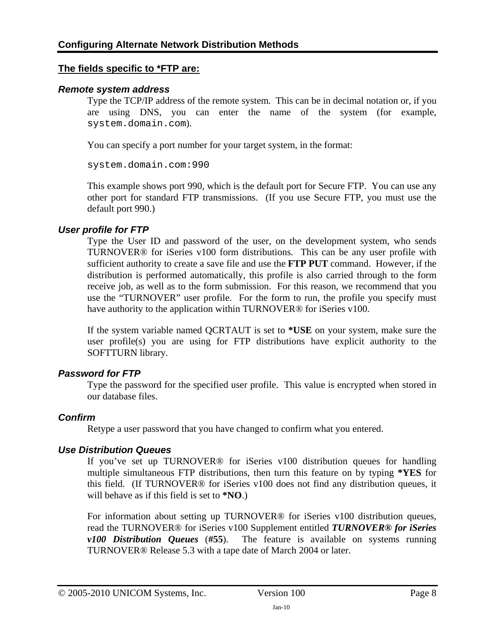#### **The fields specific to \*FTP are:**

#### *Remote system address*

Type the TCP/IP address of the remote system. This can be in decimal notation or, if you are using DNS, you can enter the name of the system (for example, system.domain.com).

You can specify a port number for your target system, in the format:

system.domain.com:990

This example shows port 990, which is the default port for Secure FTP. You can use any other port for standard FTP transmissions. (If you use Secure FTP, you must use the default port 990.)

#### *User profile for FTP*

Type the User ID and password of the user, on the development system, who sends TURNOVER® for iSeries v100 form distributions. This can be any user profile with sufficient authority to create a save file and use the **FTP PUT** command. However, if the distribution is performed automatically, this profile is also carried through to the form receive job, as well as to the form submission. For this reason, we recommend that you use the "TURNOVER" user profile. For the form to run, the profile you specify must have authority to the application within TURNOVER<sup>®</sup> for iSeries v100.

If the system variable named QCRTAUT is set to **\*USE** on your system, make sure the user profile(s) you are using for FTP distributions have explicit authority to the SOFTTURN library.

#### *Password for FTP*

Type the password for the specified user profile. This value is encrypted when stored in our database files.

#### *Confirm*

Retype a user password that you have changed to confirm what you entered.

#### *Use Distribution Queues*

If you've set up TURNOVER® for iSeries v100 distribution queues for handling multiple simultaneous FTP distributions, then turn this feature on by typing **\*YES** for this field. (If TURNOVER® for iSeries v100 does not find any distribution queues, it will behave as if this field is set to **\*NO**.)

For information about setting up TURNOVER® for iSeries v100 distribution queues, read the TURNOVER® for iSeries v100 Supplement entitled *TURNOVER® for iSeries v100 Distribution Queues* (**#55**). The feature is available on systems running TURNOVER® Release 5.3 with a tape date of March 2004 or later.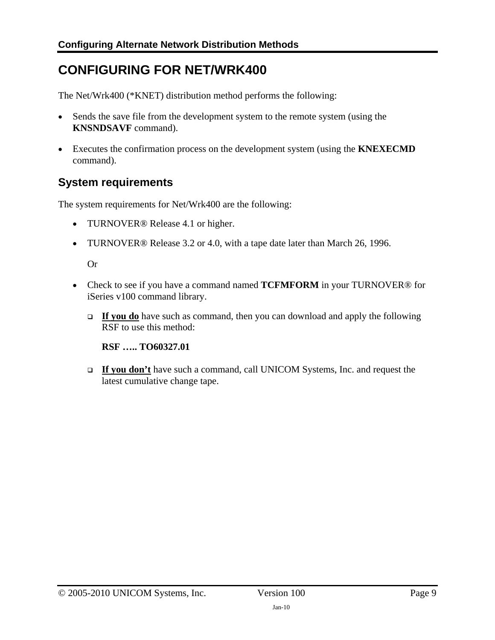# <span id="page-8-1"></span><span id="page-8-0"></span>**CONFIGURING FOR NET/WRK400**

The Net/Wrk400 (\*KNET) distribution method performs the following:

- Sends the save file from the development system to the remote system (using the **KNSNDSAVF** command).
- Executes the confirmation process on the development system (using the **KNEXECMD** command).

# <span id="page-8-2"></span>**System requirements**

The system requirements for Net/Wrk400 are the following:

- TURNOVER<sup>®</sup> Release 4.1 or higher.
- TURNOVER® Release 3.2 or 4.0, with a tape date later than March 26, 1996.

Or

- Check to see if you have a command named **TCFMFORM** in your TURNOVER® for iSeries v100 command library.
	- **If you do** have such as command, then you can download and apply the following RSF to use this method:

**RSF ….. TO60327.01**

 **If you don't** have such a command, call UNICOM Systems, Inc. and request the latest cumulative change tape.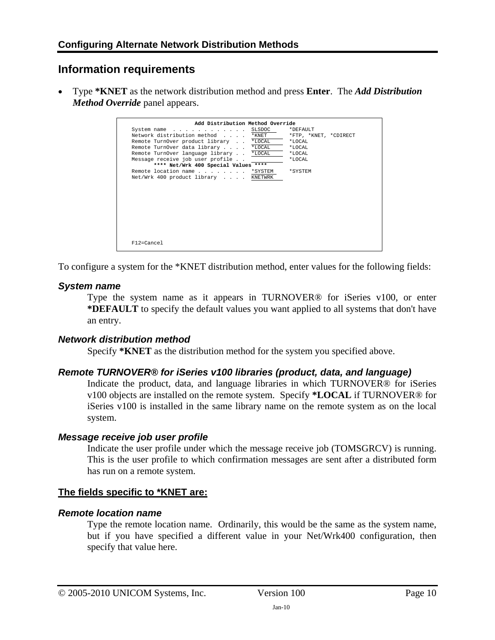# <span id="page-9-1"></span><span id="page-9-0"></span>**Information requirements**

• Type **\*KNET** as the network distribution method and press **Enter**. The *Add Distribution Method Override* panel appears.

| Add Distribution Method Override<br>System name<br>Network distribution method<br>Remote TurnOver product library *LOCAL<br>Remote TurnOver data library *LOCAL<br>Remote TurnOver language library *LOCAL<br>Message receive job user profile<br>**** Net/Wrk 400 Special Values ****<br>Remote location name *SYSTEM | SLSDOC<br>$*$ KNET | *DEFAULT<br>*FTP, *KNET, *CDIRECT<br>*LOCAL<br>*LOCAL<br>*LOCAL<br>*LOCAL<br>*SYSTEM |
|------------------------------------------------------------------------------------------------------------------------------------------------------------------------------------------------------------------------------------------------------------------------------------------------------------------------|--------------------|--------------------------------------------------------------------------------------|
| Net/Wrk 400 product library KNETWRK                                                                                                                                                                                                                                                                                    |                    |                                                                                      |
|                                                                                                                                                                                                                                                                                                                        |                    |                                                                                      |
|                                                                                                                                                                                                                                                                                                                        |                    |                                                                                      |
| $F12=Cancel$                                                                                                                                                                                                                                                                                                           |                    |                                                                                      |

To configure a system for the \*KNET distribution method, enter values for the following fields:

## *System name*

Type the system name as it appears in TURNOVER® for iSeries v100, or enter **\*DEFAULT** to specify the default values you want applied to all systems that don't have an entry.

## *Network distribution method*

Specify **\*KNET** as the distribution method for the system you specified above.

## *Remote TURNOVER® for iSeries v100 libraries (product, data, and language)*

Indicate the product, data, and language libraries in which TURNOVER® for iSeries v100 objects are installed on the remote system. Specify **\*LOCAL** if TURNOVER® for iSeries v100 is installed in the same library name on the remote system as on the local system.

## *Message receive job user profile*

Indicate the user profile under which the message receive job (TOMSGRCV) is running. This is the user profile to which confirmation messages are sent after a distributed form has run on a remote system.

## **The fields specific to \*KNET are:**

## *Remote location name*

Type the remote location name. Ordinarily, this would be the same as the system name, but if you have specified a different value in your Net/Wrk400 configuration, then specify that value here.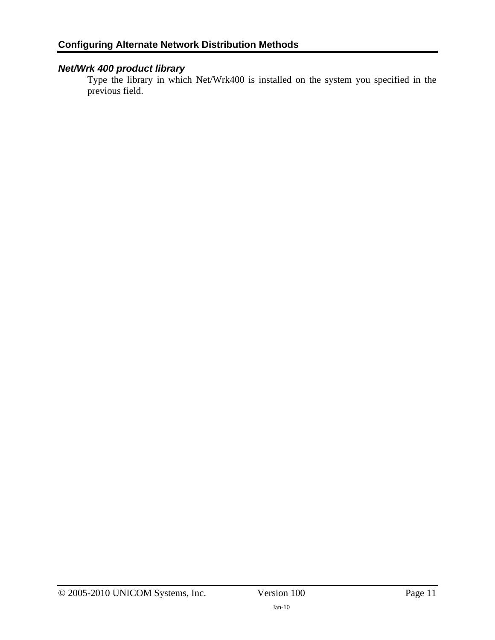# *Net/Wrk 400 product library*

Type the library in which Net/Wrk400 is installed on the system you specified in the previous field.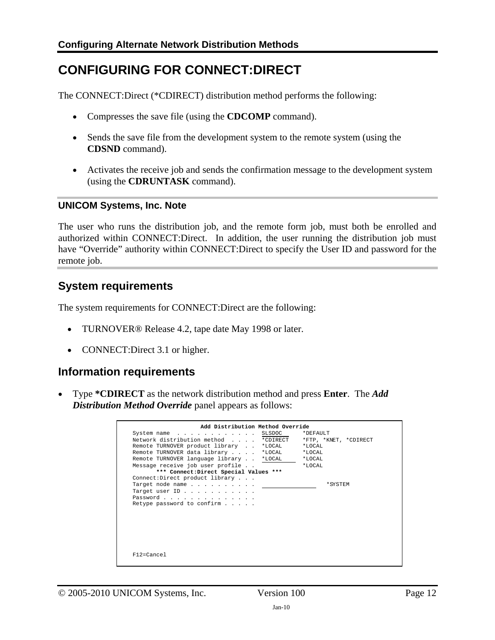# <span id="page-11-1"></span><span id="page-11-0"></span>**CONFIGURING FOR CONNECT:DIRECT**

The CONNECT:Direct (\*CDIRECT) distribution method performs the following:

- Compresses the save file (using the **CDCOMP** command).
- Sends the save file from the development system to the remote system (using the **CDSND** command).
- Activates the receive job and sends the confirmation message to the development system (using the **CDRUNTASK** command).

#### **UNICOM Systems, Inc. Note**

The user who runs the distribution job, and the remote form job, must both be enrolled and authorized within CONNECT:Direct. In addition, the user running the distribution job must have "Override" authority within CONNECT:Direct to specify the User ID and password for the remote job.

# <span id="page-11-2"></span>**System requirements**

The system requirements for CONNECT:Direct are the following:

- TURNOVER® Release 4.2, tape date May 1998 or later.
- CONNECT: Direct 3.1 or higher.

# <span id="page-11-3"></span>**Information requirements**

• Type **\*CDIRECT** as the network distribution method and press **Enter**. The *Add Distribution Method Override* panel appears as follows:

| Add Distribution Method Override        |                       |
|-----------------------------------------|-----------------------|
| $System name$ SLSDOC                    | *DEFAULT              |
| Network distribution method * CDIRECT   | *FTP, *KNET, *CDIRECT |
| Remote TURNOVER product library *LOCAL  | $*T_1OCAT_1$          |
| Remote TURNOVER data library *LOCAL     | $*$ LOCAL             |
| Remote TURNOVER language library *LOCAL | *LOCAL                |
| Message receive job user profile        | $*T_1OCAT_1$          |
| *** Connect: Direct Special Values ***  |                       |
| Connect:Direct product library          |                       |
| Target node name                        | * SYSTEM              |
| Target user ID                          |                       |
| Password                                |                       |
| Retype password to confirm $\ldots$ .   |                       |
|                                         |                       |
|                                         |                       |
|                                         |                       |
|                                         |                       |
|                                         |                       |
|                                         |                       |
|                                         |                       |
| $F12 = Cancel$                          |                       |
|                                         |                       |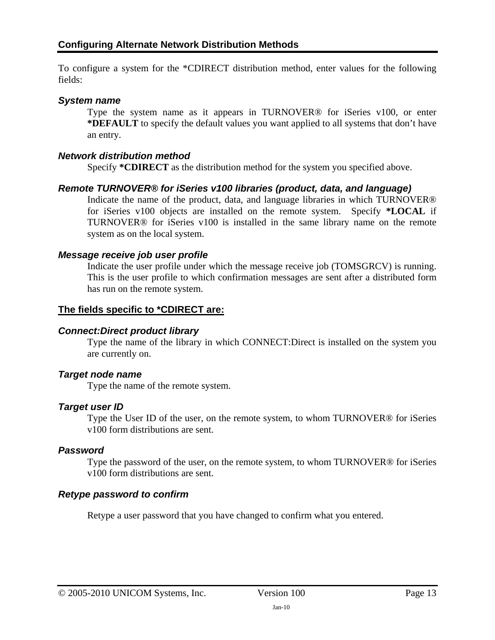To configure a system for the \*CDIRECT distribution method, enter values for the following fields:

### *System name*

Type the system name as it appears in TURNOVER® for iSeries v100, or enter **\*DEFAULT** to specify the default values you want applied to all systems that don't have an entry.

#### *Network distribution method*

Specify **\*CDIRECT** as the distribution method for the system you specified above.

#### *Remote TURNOVER® for iSeries v100 libraries (product, data, and language)*

Indicate the name of the product, data, and language libraries in which TURNOVER® for iSeries v100 objects are installed on the remote system. Specify **\*LOCAL** if TURNOVER® for iSeries v100 is installed in the same library name on the remote system as on the local system.

#### *Message receive job user profile*

Indicate the user profile under which the message receive job (TOMSGRCV) is running. This is the user profile to which confirmation messages are sent after a distributed form has run on the remote system.

## **The fields specific to \*CDIRECT are:**

## *Connect:Direct product library*

Type the name of the library in which CONNECT:Direct is installed on the system you are currently on.

#### *Target node name*

Type the name of the remote system.

## *Target user ID*

Type the User ID of the user, on the remote system, to whom TURNOVER® for iSeries v100 form distributions are sent.

#### *Password*

Type the password of the user, on the remote system, to whom TURNOVER® for iSeries v100 form distributions are sent.

## *Retype password to confirm*

Retype a user password that you have changed to confirm what you entered.